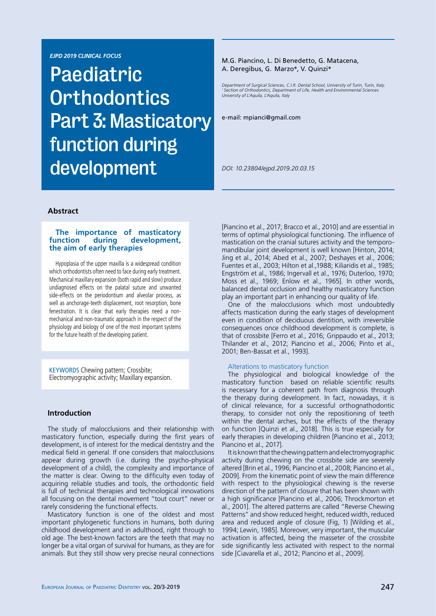## *EJPD 2019 CLINICAL FOCUS*

# Paediatric **Orthodontics** Part 3: Masticatory function during development

#### **Abstract**

## **The importance of masticatory function during development, the aim of early therapies**

Hypoplasia of the upper maxilla is a widespread condition which orthodontists often need to face during early treatment. Mechanical maxillary expansion (both rapid and slow) produce undiagnosed effects on the palatal suture and unwanted side-effects on the periodontium and alveolar process, as well as anchorage-teeth displacement, root resorption, bone fenestration. It is clear that early therapies need a nonmechanical and non-traumatic approach in the respect of the physiology and biology of one of the most important systems for the future health of the developing patient.

KEYWORDS Chewing pattern; Crossbite; Electromyographic activity; Maxillary expansion.

# **Introduction**

The study of malocclusions and their relationship with masticatory function, especially during the first years of development, is of interest for the medical dentistry and the medical field in general. If one considers that malocclusions appear during growth (i.e. during the psycho-physical development of a child), the complexity and importance of the matter is clear. Owing to the difficulty even today of acquiring reliable studies and tools, the orthodontic field is full of technical therapies and technological innovations all focusing on the dental movement "tout court" never or rarely considering the functional effects.

Masticatory function is one of the oldest and most important phylogenetic functions in humans, both during childhood development and in adulthood, right through to old age. The best-known factors are the teeth that may no longer be a vital organ of survival for humans, as they are for animals. But they still show very precise neural connections

#### M.G. Piancino, L. Di Benedetto, G. Matacena, A. Deregibus, G. Marzo\*, V. Quinzi\*

*Department of Surgical Sciences, C.I.R. Dental School, University of Turin, Turin, Italy. \* Section of Orthodontics, Department of Life, Health and Environmental Sciences University of L'Aquila, L'Aquila, Italy*

e-mail: mpianci@gmail.com

*DOI: 10.23804/ejpd.2019.20.03.15*

[Piancino et al., 2017; Bracco et al., 2010] and are essential in terms of optimal physiological functioning. The influence of mastication on the cranial sutures activity and the temporomandibular joint development is well known [Hinton, 2014; Jing et al., 2014; Abed et al., 2007; Deshayes et al., 2006; Fuentes et al., 2003; Hilton et al.,1988; Kiliaridis et al., 1985; Engström et al., 1986; Ingervall et al., 1976; Duterloo, 1970; Moss et al., 1969; Enlow et al., 1965]. In other words, balanced dental occlusion and healthy masticatory function play an important part in enhancing our quality of life.

One of the malocclusions which most undoubtedly affects mastication during the early stages of development even in condition of deciduous dentition, with irreversible consequences once childhood development is complete, is that of crossbite [Ferro et al., 2016; Grippaudo et al., 2013; Thilander et al., 2012; Piancino et al., 2006; Pinto et al., 2001; Ben-Bassat et al., 1993].

#### Alterations to masticatory function

The physiological and biological knowledge of the masticatory function based on reliable scientific results is necessary for a coherent path from diagnosis through the therapy during development. In fact, nowadays, it is of clinical relevance, for a successful orthognathodontic therapy, to consider not only the repositioning of teeth within the dental arches, but the effects of the therapy on function [Quinzi et al., 2018]. This is true especially for early therapies in developing children [Piancino et al., 2013; Piancino et al., 2017].

It is known that the chewing pattern and electromyographic activity during chewing on the crossbite side are severely altered [Brin et al., 1996; Piancino et al., 2008; Piancino et al., 2009]. From the kinematic point of view the main difference with respect to the physiological chewing is the reverse direction of the pattern of closure that has been shown with a high significance [Piancino et al., 2006; Throckmorton et al., 2001]. The altered patterns are called "Reverse Chewing Patterns" and show reduced height, reduced width, reduced area and reduced angle of closure (Fig, 1) [Wilding et al., 1994; Lewin, 1985]. Moreover, very important, the muscular activation is affected, being the masseter of the crossbite side significantly less activated with respect to the normal side [Ciavarella et al., 2012; Piancino et al., 2009].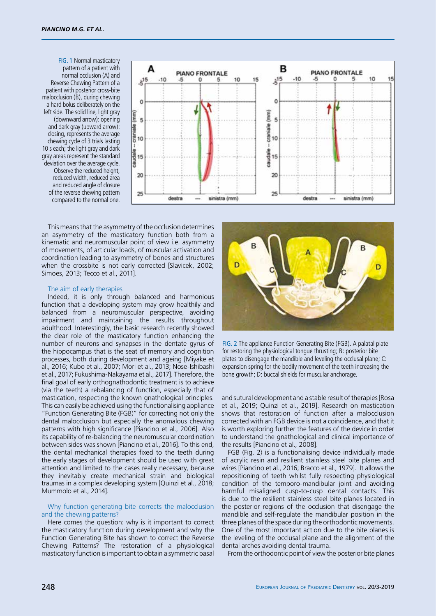FIG. 1 Normal masticatory pattern of a patient with normal occlusion (A) and Reverse Chewing Pattern of a patient with posterior cross-bite malocclusion (B), during chewing a hard bolus deliberately on the left side. The solid line, light gray (downward arrow): opening and dark gray (upward arrow): closing, represents the average chewing cycle of 3 trials lasting 10 s each; the light gray and dark gray areas represent the standard deviation over the average cycle. Observe the reduced height, reduced width, reduced area and reduced angle of closure of the reverse chewing pattern compared to the normal one.



This means that the asymmetry of the occlusion determines an asymmetry of the masticatory function both from a kinematic and neuromuscular point of view i.e. asymmetry of movements, of articular loads, of muscular activation and coordination leading to asymmetry of bones and structures when the crossbite is not early corrected [Slavicek, 2002; Simoes, 2013; Tecco et al., 2011].

#### The aim of early therapies

Indeed, it is only through balanced and harmonious function that a developing system may grow healthily and balanced from a neuromuscular perspective, avoiding impairment and maintaining the results throughout adulthood. Interestingly, the basic research recently showed the clear role of the masticatory function enhancing the number of neurons and synapses in the dentate gyrus of the hippocampus that is the seat of memory and cognition processes, both during development and ageing [Miyake et al., 2016; Kubo et al., 2007; Mori et al., 2013; Nose-Ishibashi et al., 2017; Fukushima-Nakayama et al., 2017]. Therefore, the final goal of early orthognathodontic treatment is to achieve (via the teeth) a rebalancing of function, especially that of mastication, respecting the known gnathological principles. This can easily be achieved using the functionalising appliance "Function Generating Bite (FGB)" for correcting not only the dental malocclusion but especially the anomalous chewing patterns with high significance [Piancino et al., 2006]. Also its capability of re-balancing the neuromuscular coordination between sides was shown [Piancino et al., 2016]. To this end, the dental mechanical therapies fixed to the teeth during the early stages of development should be used with great attention and limited to the cases really necessary, because they inevitably create mechanical strain and biological traumas in a complex developing system [Quinzi et al., 2018; Mummolo et al., 2014].

#### Why function generating bite corrects the malocclusion and the chewing patterns?

Here comes the question: why is it important to correct the masticatory function during development and why the Function Generating Bite has shown to correct the Reverse Chewing Patterns? The restoration of a physiological masticatory function is important to obtain a symmetric basal



FIG. 2 The appliance Function Generating Bite (FGB). A palatal plate for restoring the physiological tongue thrusting; B: posterior bite plates to disengage the mandible and leveling the occlusal plane; C: expansion spring for the bodily movement of the teeth increasing the bone growth; D: buccal shields for muscular anchorage.

and sutural development and a stable result of therapies [Rosa et al., 2019; Quinzi et al., 2019]. Research on mastication shows that restoration of function after a malocclusion corrected with an FGB device is not a coincidence, and that it is worth exploring further the features of the device in order to understand the gnathological and clinical importance of the results [Piancino et al., 2008].

FGB (Fig. 2) is a functionalising device individually made of acrylic resin and resilient stainless steel bite planes and wires [Piancino et al., 2016; Bracco et al., 1979]. It allows the repositioning of teeth whilst fully respecting physiological condition of the temporo-mandibular joint and avoiding harmful misaligned cusp-to-cusp dental contacts. This is due to the resilient stainless steel bite planes located in the posterior regions of the occlusion that disengage the mandible and self-regulate the mandibular position in the three planes of the space during the orthodontic movements. One of the most important action due to the bite planes is the leveling of the occlusal plane and the alignment of the dental arches avoiding dental trauma.

From the orthodontic point of view the posterior bite planes